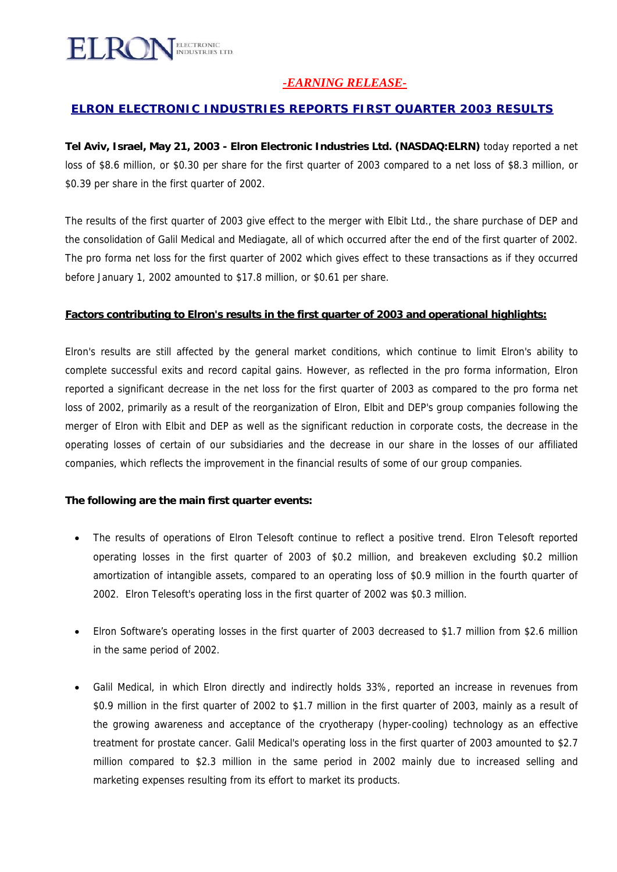

### *-EARNING RELEASE-*

### *ELRON ELECTRONIC INDUSTRIES REPORTS FIRST QUARTER 2003 RESULTS*

**Tel Aviv, Israel, May 21, 2003 - Elron Electronic Industries Ltd. (NASDAQ:ELRN)** today reported a net loss of \$8.6 million, or \$0.30 per share for the first quarter of 2003 compared to a net loss of \$8.3 million, or \$0.39 per share in the first quarter of 2002.

The results of the first quarter of 2003 give effect to the merger with Elbit Ltd., the share purchase of DEP and the consolidation of Galil Medical and Mediagate, all of which occurred after the end of the first quarter of 2002. The pro forma net loss for the first quarter of 2002 which gives effect to these transactions as if they occurred before January 1, 2002 amounted to \$17.8 million, or \$0.61 per share.

#### **Factors contributing to Elron's results in the first quarter of 2003 and operational highlights:**

Elron's results are still affected by the general market conditions, which continue to limit Elron's ability to complete successful exits and record capital gains. However, as reflected in the pro forma information, Elron reported a significant decrease in the net loss for the first quarter of 2003 as compared to the pro forma net loss of 2002, primarily as a result of the reorganization of Elron, Elbit and DEP's group companies following the merger of Elron with Elbit and DEP as well as the significant reduction in corporate costs, the decrease in the operating losses of certain of our subsidiaries and the decrease in our share in the losses of our affiliated companies, which reflects the improvement in the financial results of some of our group companies.

#### **The following are the main first quarter events:**

- The results of operations of Elron Telesoft continue to reflect a positive trend. Elron Telesoft reported operating losses in the first quarter of 2003 of \$0.2 million, and breakeven excluding \$0.2 million amortization of intangible assets, compared to an operating loss of \$0.9 million in the fourth quarter of 2002. Elron Telesoft's operating loss in the first quarter of 2002 was \$0.3 million.
- Elron Software's operating losses in the first quarter of 2003 decreased to \$1.7 million from \$2.6 million in the same period of 2002.
- Galil Medical, in which Elron directly and indirectly holds 33%, reported an increase in revenues from \$0.9 million in the first quarter of 2002 to \$1.7 million in the first quarter of 2003, mainly as a result of the growing awareness and acceptance of the cryotherapy (hyper-cooling) technology as an effective treatment for prostate cancer. Galil Medical's operating loss in the first quarter of 2003 amounted to \$2.7 million compared to \$2.3 million in the same period in 2002 mainly due to increased selling and marketing expenses resulting from its effort to market its products.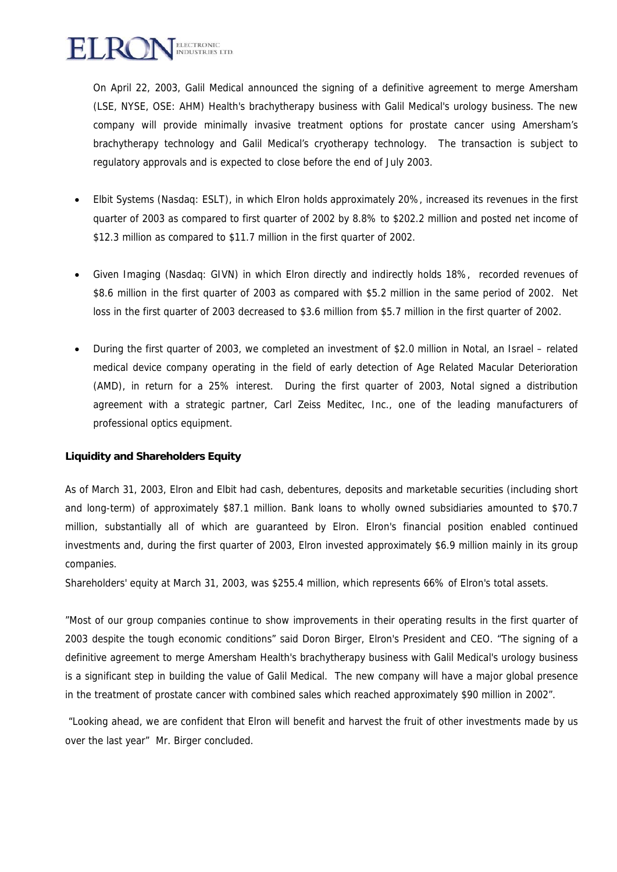

On April 22, 2003, Galil Medical announced the signing of a definitive agreement to merge Amersham (LSE, NYSE, OSE: AHM) Health's brachytherapy business with Galil Medical's urology business. The new company will provide minimally invasive treatment options for prostate cancer using Amersham's brachytherapy technology and Galil Medical's cryotherapy technology. The transaction is subject to regulatory approvals and is expected to close before the end of July 2003.

- Elbit Systems (Nasdaq: ESLT), in which Elron holds approximately 20%, increased its revenues in the first quarter of 2003 as compared to first quarter of 2002 by 8.8% to \$202.2 million and posted net income of \$12.3 million as compared to \$11.7 million in the first quarter of 2002.
- Given Imaging (Nasdaq: GIVN) in which Elron directly and indirectly holds 18%, recorded revenues of \$8.6 million in the first quarter of 2003 as compared with \$5.2 million in the same period of 2002. Net loss in the first quarter of 2003 decreased to \$3.6 million from \$5.7 million in the first quarter of 2002.
- During the first quarter of 2003, we completed an investment of \$2.0 million in Notal, an Israel related medical device company operating in the field of early detection of Age Related Macular Deterioration (AMD), in return for a 25% interest. During the first quarter of 2003, Notal signed a distribution agreement with a strategic partner, Carl Zeiss Meditec, Inc., one of the leading manufacturers of professional optics equipment.

#### **Liquidity and Shareholders Equity**

As of March 31, 2003, Elron and Elbit had cash, debentures, deposits and marketable securities (including short and long-term) of approximately \$87.1 million. Bank loans to wholly owned subsidiaries amounted to \$70.7 million, substantially all of which are guaranteed by Elron. Elron's financial position enabled continued investments and, during the first quarter of 2003, Elron invested approximately \$6.9 million mainly in its group companies.

Shareholders' equity at March 31, 2003, was \$255.4 million, which represents 66% of Elron's total assets.

"Most of our group companies continue to show improvements in their operating results in the first quarter of 2003 despite the tough economic conditions" said Doron Birger, Elron's President and CEO. "The signing of a definitive agreement to merge Amersham Health's brachytherapy business with Galil Medical's urology business is a significant step in building the value of Galil Medical. The new company will have a major global presence in the treatment of prostate cancer with combined sales which reached approximately \$90 million in 2002".

 "Looking ahead, we are confident that Elron will benefit and harvest the fruit of other investments made by us over the last year" Mr. Birger concluded.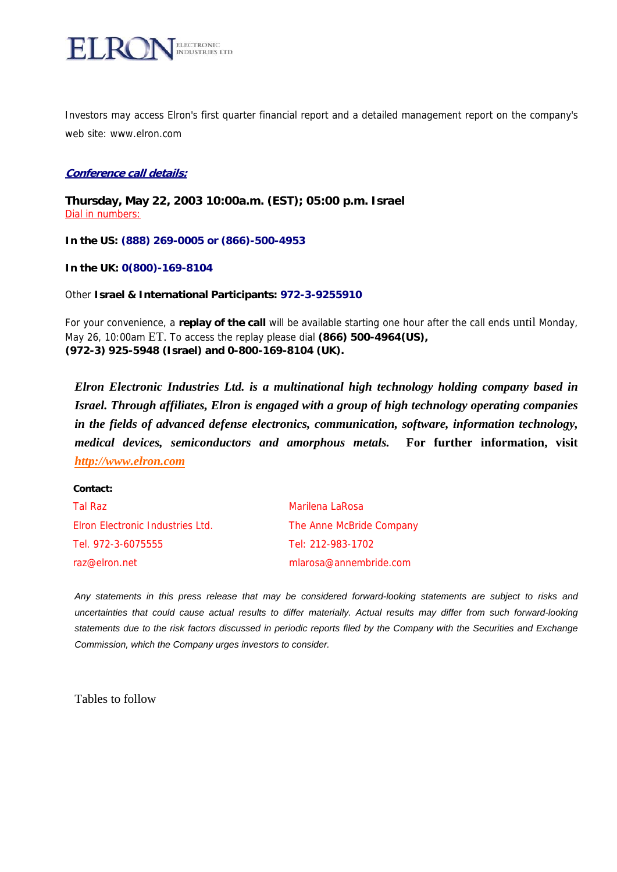

Investors may access Elron's first quarter financial report and a detailed management report on the company's web site: [www.elron.com](http://www.elron.com/)

#### **Conference call details:**

**Thursday, May 22, 2003 10:00a.m. (EST); 05:00 p.m. Israel** Dial in numbers:

**In the US: (888) 269-0005 or (866)-500-4953**

**In the UK: 0(800)-169-8104**

Other **Israel & International Participants: 972-3-9255910**

For your convenience, a **replay of the call** will be available starting one hour after the call ends until Monday, May 26, 10:00am ET. To access the replay please dial **(866) 500-4964(US), (972-3) 925-5948 (Israel) and 0-800-169-8104 (UK).** 

*Elron Electronic Industries Ltd. is a multinational high technology holding company based in Israel. Through affiliates, Elron is engaged with a group of high technology operating companies in the fields of advanced defense electronics, communication, software, information technology, medical devices, semiconductors and amorphous metals.* **For further information, visit**  *[http://www.elron.com](http://www.elron.com/)*

| Tal Raz                          | Marilena LaRosa          |
|----------------------------------|--------------------------|
| Elron Electronic Industries Ltd. | The Anne McBride Company |
| Tel. 972-3-6075555               | Tel: 212-983-1702        |
| raz@elron.net                    | mlarosa@annembride.com   |

*Any statements in this press release that may be considered forward-looking statements are subject to risks and uncertainties that could cause actual results to differ materially. Actual results may differ from such forward-looking statements due to the risk factors discussed in periodic reports filed by the Company with the Securities and Exchange Commission, which the Company urges investors to consider.* 

Tables to follow

**Contact:**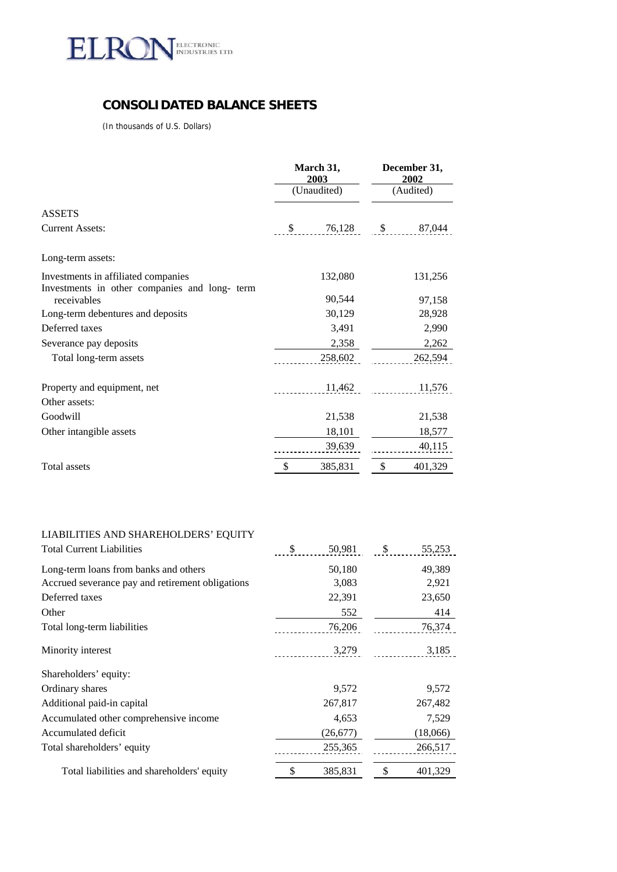

# **CONSOLIDATED BALANCE SHEETS**

(In thousands of U.S. Dollars)

|                                                                                      | March 31,<br>2003 | December 31,<br>2002 |         |  |
|--------------------------------------------------------------------------------------|-------------------|----------------------|---------|--|
|                                                                                      | (Unaudited)       | (Audited)            |         |  |
| <b>ASSETS</b>                                                                        |                   |                      |         |  |
| <b>Current Assets:</b>                                                               | \$<br>76,128      | $\mathbb{S}$         | 87,044  |  |
| Long-term assets:                                                                    |                   |                      |         |  |
| Investments in affiliated companies<br>Investments in other companies and long- term | 132,080           |                      | 131,256 |  |
| receivables                                                                          | 90,544            |                      | 97,158  |  |
| Long-term debentures and deposits                                                    | 30,129            |                      | 28,928  |  |
| Deferred taxes                                                                       | 3,491             |                      | 2,990   |  |
| Severance pay deposits                                                               | 2,358             |                      | 2,262   |  |
| Total long-term assets                                                               | 258,602           |                      | 262,594 |  |
| Property and equipment, net                                                          | 11,462            |                      | 11,576  |  |
| Other assets:                                                                        |                   |                      |         |  |
| Goodwill                                                                             | 21,538            |                      | 21,538  |  |
| Other intangible assets                                                              | 18,101            | 18,577               |         |  |
|                                                                                      | 39,639            |                      | 40,115  |  |
| Total assets                                                                         | \$<br>385,831     | \$                   | 401,329 |  |

### LIABILITIES AND SHAREHOLDERS' EQUITY

| <b>Total Current Liabilities</b>                 | \$<br>50,981 | \$<br>55,253  |
|--------------------------------------------------|--------------|---------------|
| Long-term loans from banks and others            | 50,180       | 49,389        |
| Accrued severance pay and retirement obligations | 3,083        | 2,921         |
| Deferred taxes                                   | 22,391       | 23,650        |
| Other                                            | 552          | 414           |
| Total long-term liabilities                      | 76,206       | 76,374        |
| Minority interest                                | 3,279        | 3,185         |
| Shareholders' equity:                            |              |               |
| Ordinary shares                                  | 9,572        | 9,572         |
| Additional paid-in capital                       | 267,817      | 267,482       |
| Accumulated other comprehensive income           | 4,653        | 7,529         |
| Accumulated deficit                              | (26,677)     | (18,066)      |
| Total shareholders' equity                       | 255,365      | 266,517       |
| Total liabilities and shareholders' equity       | 385,831<br>S | \$<br>401,329 |